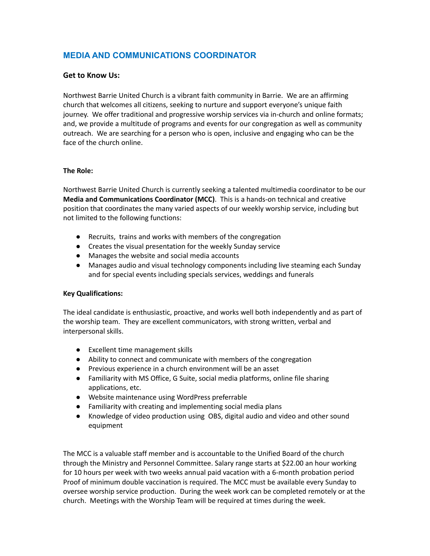# **MEDIA AND COMMUNICATIONS COORDINATOR**

## **Get to Know Us:**

Northwest Barrie United Church is a vibrant faith community in Barrie. We are an affirming church that welcomes all citizens, seeking to nurture and support everyone's unique faith journey. We offer traditional and progressive worship services via in-church and online formats; and, we provide a multitude of programs and events for our congregation as well as community outreach. We are searching for a person who is open, inclusive and engaging who can be the face of the church online.

### **The Role:**

Northwest Barrie United Church is currently seeking a talented multimedia coordinator to be our **Media and Communications Coordinator (MCC)**. This is a hands-on technical and creative position that coordinates the many varied aspects of our weekly worship service, including but not limited to the following functions:

- Recruits, trains and works with members of the congregation
- Creates the visual presentation for the weekly Sunday service
- Manages the website and social media accounts
- Manages audio and visual technology components including live steaming each Sunday and for special events including specials services, weddings and funerals

### **Key Qualifications:**

The ideal candidate is enthusiastic, proactive, and works well both independently and as part of the worship team. They are excellent communicators, with strong written, verbal and interpersonal skills.

- Excellent time management skills
- Ability to connect and communicate with members of the congregation
- Previous experience in a church environment will be an asset
- Familiarity with MS Office, G Suite, social media platforms, online file sharing applications, etc.
- Website maintenance using WordPress preferrable
- Familiarity with creating and implementing social media plans
- Knowledge of video production using OBS, digital audio and video and other sound equipment

The MCC is a valuable staff member and is accountable to the Unified Board of the church through the Ministry and Personnel Committee. Salary range starts at \$22.00 an hour working for 10 hours per week with two weeks annual paid vacation with a 6-month probation period Proof of minimum double vaccination is required. The MCC must be available every Sunday to oversee worship service production. During the week work can be completed remotely or at the church. Meetings with the Worship Team will be required at times during the week.